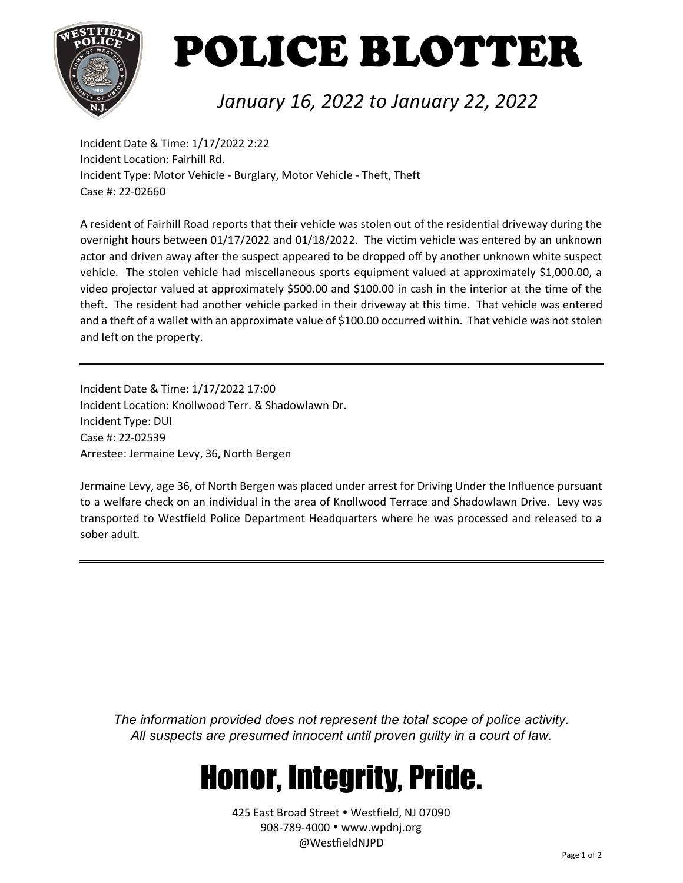

# POLICE BLOTTER

### *January 16, 2022 to January 22, 2022*

Incident Date & Time: 1/17/2022 2:22 Incident Location: Fairhill Rd. Incident Type: Motor Vehicle - Burglary, Motor Vehicle - Theft, Theft Case #: 22-02660

A resident of Fairhill Road reports that their vehicle was stolen out of the residential driveway during the overnight hours between 01/17/2022 and 01/18/2022. The victim vehicle was entered by an unknown actor and driven away after the suspect appeared to be dropped off by another unknown white suspect vehicle. The stolen vehicle had miscellaneous sports equipment valued at approximately \$1,000.00, a video projector valued at approximately \$500.00 and \$100.00 in cash in the interior at the time of the theft. The resident had another vehicle parked in their driveway at this time. That vehicle was entered and a theft of a wallet with an approximate value of \$100.00 occurred within. That vehicle was not stolen and left on the property.

Incident Date & Time: 1/17/2022 17:00 Incident Location: Knollwood Terr. & Shadowlawn Dr. Incident Type: DUI Case #: 22-02539 Arrestee: Jermaine Levy, 36, North Bergen

Jermaine Levy, age 36, of North Bergen was placed under arrest for Driving Under the Influence pursuant to a welfare check on an individual in the area of Knollwood Terrace and Shadowlawn Drive. Levy was transported to Westfield Police Department Headquarters where he was processed and released to a sober adult.

*The information provided does not represent the total scope of police activity. All suspects are presumed innocent until proven guilty in a court of law.*

## Honor, Integrity, Pride.

425 East Broad Street . Westfield, NJ 07090 908-789-4000 www.wpdnj.org @WestfieldNJPD